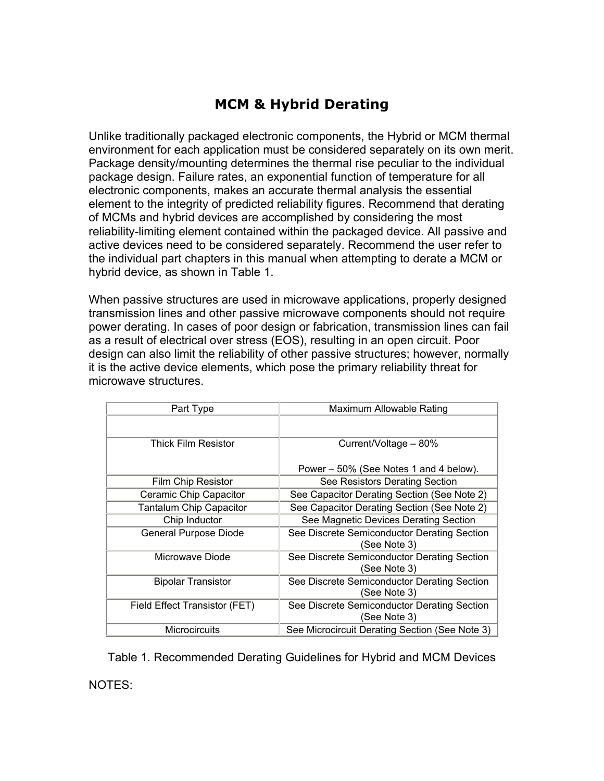## **MCM & Hybrid Derating**

Unlike traditionally packaged electronic components, the Hybrid or MCM thermal environment for each application must be considered separately on its own merit. Package density/mounting determines the thermal rise peculiar to the individual package design. Failure rates, an exponential function of temperature for all electronic components, makes an accurate thermal analysis the essential element to the integrity of predicted reliability figures. Recommend that derating of MCMs and hybrid devices are accomplished by considering the most reliability-limiting element contained within the packaged device. All passive and active devices need to be considered separately. Recommend the user refer to the individual part chapters in this manual when attempting to derate a MCM or hybrid device, as shown in Table 1.

When passive structures are used in microwave applications, properly designed transmission lines and other passive microwave components should not require power derating. In cases of poor design or fabrication, transmission lines can fail as a result of electrical over stress (EOS), resulting in an open circuit. Poor design can also limit the reliability of other passive structures; however, normally it is the active device elements, which pose the primary reliability threat for microwave structures.

| Part Type                      | Maximum Allowable Rating                                    |
|--------------------------------|-------------------------------------------------------------|
|                                |                                                             |
| <b>Thick Film Resistor</b>     | Current/Voltage - 80%                                       |
|                                | Power – 50% (See Notes 1 and 4 below).                      |
| <b>Film Chip Resistor</b>      | See Resistors Derating Section                              |
| Ceramic Chip Capacitor         | See Capacitor Derating Section (See Note 2)                 |
| <b>Tantalum Chip Capacitor</b> | See Capacitor Derating Section (See Note 2)                 |
| Chip Inductor                  | See Magnetic Devices Derating Section                       |
| <b>General Purpose Diode</b>   | See Discrete Semiconductor Derating Section<br>(See Note 3) |
| Microwave Diode                | See Discrete Semiconductor Derating Section<br>(See Note 3) |
| <b>Bipolar Transistor</b>      | See Discrete Semiconductor Derating Section<br>(See Note 3) |
| Field Effect Transistor (FET)  | See Discrete Semiconductor Derating Section<br>(See Note 3) |
| <b>Microcircuits</b>           | See Microcircuit Derating Section (See Note 3)              |

Table 1. Recommended Derating Guidelines for Hybrid and MCM Devices NOTES: